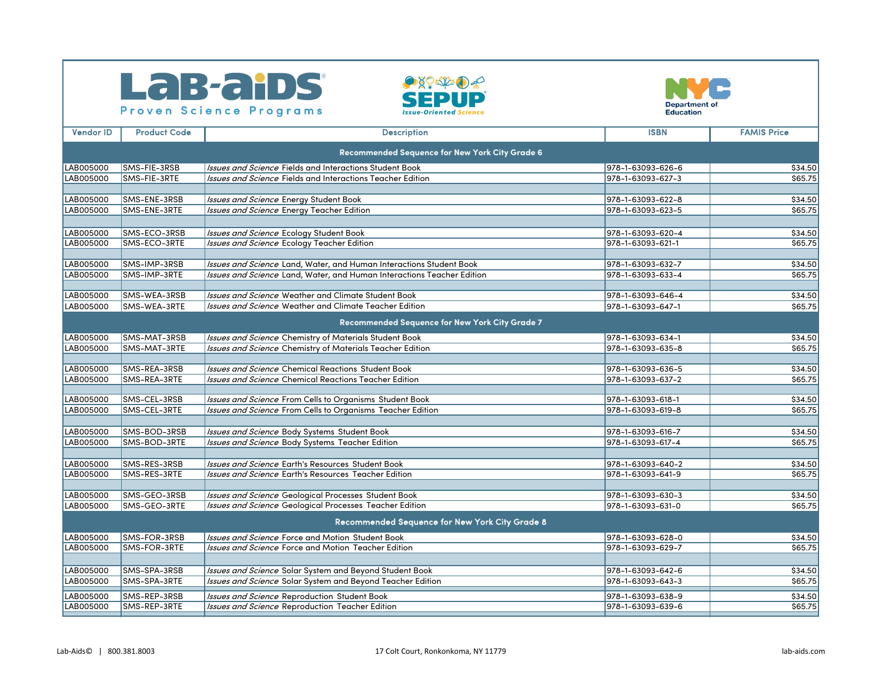





| <b>Vendor ID</b> | <b>Product Code</b> | <b>Description</b>                                                     | <b>ISBN</b>       | <b>FAMIS Price</b> |
|------------------|---------------------|------------------------------------------------------------------------|-------------------|--------------------|
|                  |                     | Recommended Sequence for New York City Grade 6                         |                   |                    |
| LAB005000        | SMS-FIE-3RSB        | <b>Issues and Science Fields and Interactions Student Book</b>         | 978-1-63093-626-6 | \$34.50            |
| LAB005000        | SMS-FIE-3RTE        | Issues and Science Fields and Interactions Teacher Edition             | 978-1-63093-627-3 | \$65.75            |
|                  |                     |                                                                        |                   |                    |
| LAB005000        | SMS-ENE-3RSB        | Issues and Science Energy Student Book                                 | 978-1-63093-622-8 | \$34.50            |
| LAB005000        | SMS-ENE-3RTE        | Issues and Science Energy Teacher Edition                              | 978-1-63093-623-5 | \$65.75            |
|                  |                     |                                                                        |                   |                    |
| LAB005000        | SMS-ECO-3RSB        | Issues and Science Ecology Student Book                                | 978-1-63093-620-4 | \$34.50            |
| LAB005000        | SMS-ECO-3RTE        | Issues and Science Ecology Teacher Edition                             | 978-1-63093-621-1 | \$65.75            |
|                  |                     |                                                                        |                   |                    |
| LAB005000        | SMS-IMP-3RSB        | Issues and Science Land, Water, and Human Interactions Student Book    | 978-1-63093-632-7 | \$34.50            |
| LAB005000        | SMS-IMP-3RTE        | Issues and Science Land, Water, and Human Interactions Teacher Edition | 978-1-63093-633-4 | \$65.75            |
|                  |                     |                                                                        |                   |                    |
| LAB005000        | SMS-WEA-3RSB        | <b>Issues and Science Weather and Climate Student Book</b>             | 978-1-63093-646-4 | \$34.50            |
| LAB005000        | SMS-WEA-3RTE        | Issues and Science Weather and Climate Teacher Edition                 | 978-1-63093-647-1 | \$65.75            |
|                  |                     | Recommended Sequence for New York City Grade 7                         |                   |                    |
| LAB005000        | SMS-MAT-3RSB        | Issues and Science Chemistry of Materials Student Book                 | 978-1-63093-634-1 | \$34.50            |
| LAB005000        | SMS-MAT-3RTE        | Issues and Science Chemistry of Materials Teacher Edition              | 978-1-63093-635-8 | \$65.75            |
|                  |                     |                                                                        |                   |                    |
| LAB005000        | SMS-REA-3RSB        | <b>Issues and Science Chemical Reactions Student Book</b>              | 978-1-63093-636-5 | \$34.50            |
| LAB005000        | SMS-REA-3RTE        | <b>Issues and Science Chemical Reactions Teacher Edition</b>           | 978-1-63093-637-2 | \$65.75            |
|                  |                     |                                                                        |                   |                    |
| LAB005000        | SMS-CEL-3RSB        | Issues and Science From Cells to Organisms Student Book                | 978-1-63093-618-1 | \$34.50            |
| LAB005000        | SMS-CEL-3RTE        | Issues and Science From Cells to Organisms Teacher Edition             | 978-1-63093-619-8 | \$65.75            |
|                  |                     |                                                                        |                   |                    |
| LAB005000        | SMS-BOD-3RSB        | Issues and Science Body Systems Student Book                           | 978-1-63093-616-7 | \$34.50            |
| LAB005000        | SMS-BOD-3RTE        | Issues and Science Body Systems Teacher Edition                        | 978-1-63093-617-4 | \$65.75            |
|                  |                     |                                                                        |                   |                    |
| LAB005000        | SMS-RES-3RSB        | <b>Issues and Science Earth's Resources Student Book</b>               | 978-1-63093-640-2 | \$34.50            |
| LAB005000        | SMS-RES-3RTE        | Issues and Science Earth's Resources Teacher Edition                   | 978-1-63093-641-9 | \$65.75            |
|                  |                     |                                                                        |                   |                    |
| LAB005000        | SMS-GEO-3RSB        | Issues and Science Geological Processes Student Book                   | 978-1-63093-630-3 | \$34.50            |
| LAB005000        | SMS-GEO-3RTE        | <b>Issues and Science Geological Processes Teacher Edition</b>         | 978-1-63093-631-0 | \$65.75            |
|                  |                     | Recommended Sequence for New York City Grade 8                         |                   |                    |
| LAB005000        | SMS-FOR-3RSB        | <b>Issues and Science Force and Motion Student Book</b>                | 978-1-63093-628-0 | \$34.50            |
| LAB005000        | SMS-FOR-3RTE        | <b>Issues and Science Force and Motion Teacher Edition</b>             | 978-1-63093-629-7 | \$65.75            |
|                  |                     |                                                                        |                   |                    |
| LAB005000        | SMS-SPA-3RSB        | Issues and Science Solar System and Beyond Student Book                | 978-1-63093-642-6 | \$34.50            |
| LAB005000        | SMS-SPA-3RTE        | <b>Issues and Science Solar System and Beyond Teacher Edition</b>      | 978-1-63093-643-3 | \$65.75            |
|                  |                     |                                                                        |                   |                    |
| LAB005000        | SMS-REP-3RSB        | Issues and Science Reproduction Student Book                           | 978-1-63093-638-9 | \$34.50            |
| LAB005000        | SMS-REP-3RTE        | Issues and Science Reproduction Teacher Edition                        | 978-1-63093-639-6 | \$65.75            |

|  |  |  |  | <b>FAMIS Price</b> |  |
|--|--|--|--|--------------------|--|
|  |  |  |  |                    |  |